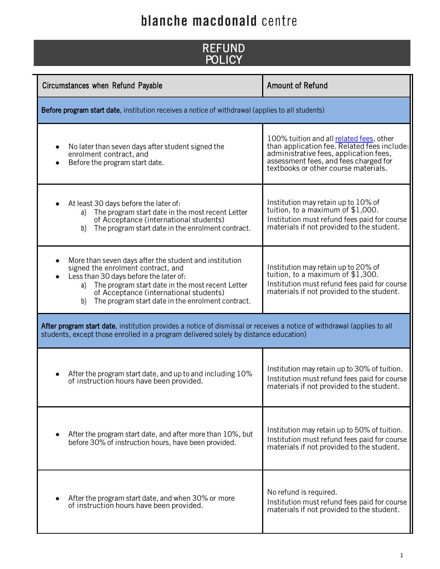## blanche macdonald centre

## REFUND POLICY

| <b>Circumstances when Refund Payable</b>                                                                                                                                                                                                                                                              | <b>Amount of Refund</b>                                                                                                                                                                                            |
|-------------------------------------------------------------------------------------------------------------------------------------------------------------------------------------------------------------------------------------------------------------------------------------------------------|--------------------------------------------------------------------------------------------------------------------------------------------------------------------------------------------------------------------|
| Before program start date, institution receives a notice of withdrawal (applies to all students)                                                                                                                                                                                                      |                                                                                                                                                                                                                    |
| No later than seven days after student signed the<br>enrolment contract, and<br>Before the program start date.                                                                                                                                                                                        | 100% tuition and all related fees, other<br>than application fee. Related fees include:<br>administrative fees, application fees,<br>assessment fees, and fees charged for<br>textbooks or other course materials. |
| At least 30 days before the later of:<br>The program start date in the most recent Letter<br>a)<br>of Acceptance (international students)<br>The program start date in the enrolment contract.<br>b)                                                                                                  | Institution may retain up to 10% of<br>tuition, to a maximum of \$1,000.<br>Institution must refund fees paid for course<br>materials if not provided to the student.                                              |
| More than seven days after the student and institution<br>signed the enrolment contract, and<br>Less than 30 days before the later of:<br>The program start date in the most recent Letter<br>a)<br>of Acceptance (international students)<br>The program start date in the enrolment contract.<br>b) | Institution may retain up to 20% of<br>tuition, to a maximum of $$1,300$ .<br>Institution must refund fees paid for course<br>materials if not provided to the student.                                            |
| After program start date, institution provides a notice of dismissal or receives a notice of withdrawal (applies to all<br>students, except those enrolled in a program delivered solely by distance education)                                                                                       |                                                                                                                                                                                                                    |
| After the program start date, and up to and including 10%<br>of instruction hours have been provided.                                                                                                                                                                                                 | Institution may retain up to 30% of tuition.<br>Institution must refund fees paid for course<br>materials if not provided to the student                                                                           |
| After the program start date, and after more than 10%, but<br>before 30% of instruction hours, have been provided.                                                                                                                                                                                    | Institution may retain up to 50% of tuition.<br>Institution must refund fees paid for course<br>materials if not provided to the student.                                                                          |
| After the program start date, and when 30% or more<br>of instruction hours have been provided.                                                                                                                                                                                                        | No refund is required.<br>Institution must refund fees paid for course<br>materials if not provided to the student.                                                                                                |